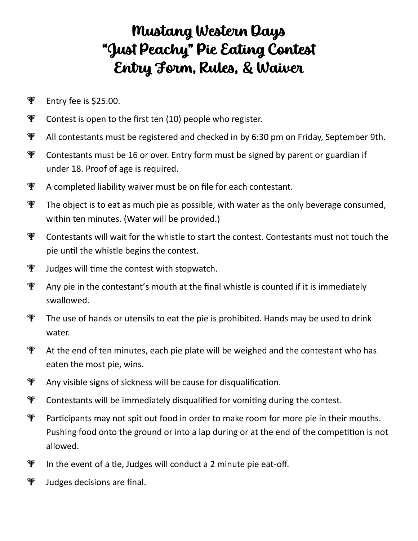## Mustang Western Days "Just Peachy" Pie Eating Contest Entry Form, Rules, & Waiver

- **P** Entry fee is \$25.00.
- $\mathcal F$  Contest is open to the first ten (10) people who register.
- **P** All contestants must be registered and checked in by 6:30 pm on Friday, September 9th.
- $\mathcal F$  Contestants must be 16 or over. Entry form must be signed by parent or guardian if under 18. Proof of age is required.
- $\mathcal{F}$  A completed liability waiver must be on file for each contestant.
- $\Psi$  The object is to eat as much pie as possible, with water as the only beverage consumed, within ten minutes. (Water will be provided.)
- $\mathcal{F}$  Contestants will wait for the whistle to start the contest. Contestants must not touch the pie until the whistle begins the contest.
- $\Psi$  Judges will time the contest with stopwatch.
- $\mathcal{F}$  Any pie in the contestant's mouth at the final whistle is counted if it is immediately swallowed.
- $\Psi$  The use of hands or utensils to eat the pie is prohibited. Hands may be used to drink water.
- $\mathcal{F}$  At the end of ten minutes, each pie plate will be weighed and the contestant who has eaten the most pie, wins.
- **P** Any visible signs of sickness will be cause for disqualification.
- $\mathcal F$  Contestants will be immediately disqualified for vomiting during the contest.
- **P** Participants may not spit out food in order to make room for more pie in their mouths. Pushing food onto the ground or into a lap during or at the end of the competition is not allowed.
- $\Psi$  In the event of a tie, Judges will conduct a 2 minute pie eat-off.
- $\Psi$  Judges decisions are final.